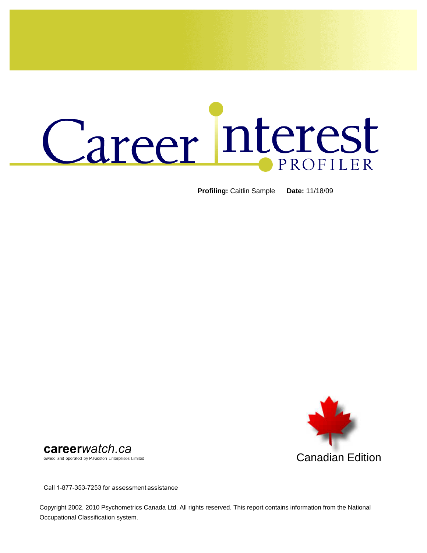# Career Interest PROFILER

**Profiling:** Caitlin Sample **Date:** 11/18/09



careerwatch.ca

owned and operated by P.Kidston Enterprises Limited

Call 1-877-353-7253 for assessment assistance

Copyright 2002, 2010 Psychometrics Canada Ltd. All rights reserved. This report contains information from the National Occupational Classification system.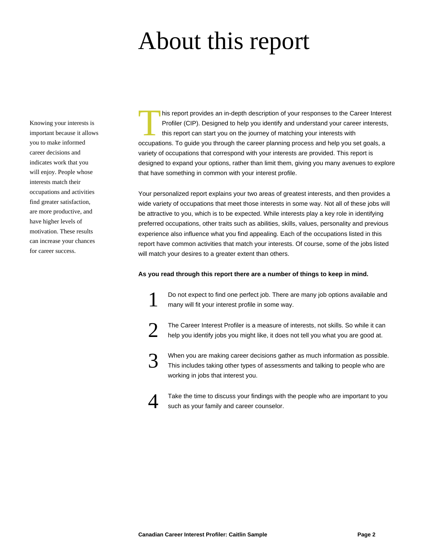### About this report

Knowing your interests is important because it allows you to make informed career decisions and indicates work that you will enjoy. People whose interests match their occupations and activities find greater satisfaction, are more productive, and have higher levels of motivation. These results can increase your chances for career success.

This report provides an in-depth description of your responses to the Career Interests<br>Profiler (CIP). Designed to help you identify and understand your career interests<br>this report can start you on the journey of matching his report provides an in-depth description of your responses to the Career Interest Profiler (CIP). Designed to help you identify and understand your career interests, this report can start you on the journey of matching your interests with variety of occupations that correspond with your interests are provided. This report is designed to expand your options, rather than limit them, giving you many avenues to explore that have something in common with your interest profile.

Your personalized report explains your two areas of greatest interests, and then provides a wide variety of occupations that meet those interests in some way. Not all of these jobs will be attractive to you, which is to be expected. While interests play a key role in identifying preferred occupations, other traits such as abilities, skills, values, personality and previous experience also influence what you find appealing. Each of the occupations listed in this report have common activities that match your interests. Of course, some of the jobs listed will match your desires to a greater extent than others.

#### **As you read through this report there are a number of things to keep in mind.**

1

4

Do not expect to find one perfect job. There are many job options available and many will fit your interest profile in some way.

- 2 The Career Interest Profiler is a measure of interests, not skills. So while it can help you identify jobs you might like, it does not tell you what you are good at.
- 3 When you are making career decisions gather as much information as possible. This includes taking other types of assessments and talking to people who are working in jobs that interest you.

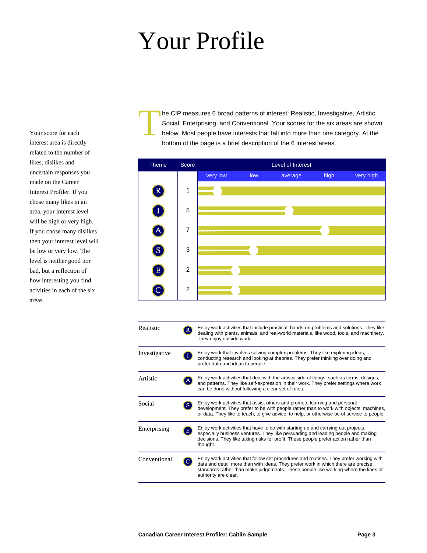### Your Profile

Your score for each interest area is directly related to the number of likes, dislikes and uncertain responses you made on the Career Interest Profiler. If you chose many likes in an area, your interest level will be high or very high. If you chose many dislikes then your interest level will be low or very low. The level is neither good nor bad, but a reflection of how interesting you find acivities in each of the six areas.

T he CIP measures 6 broad patterns of interest: Realistic, Investigative, Artistic, Social, Enterprising, and Conventional. Your scores for the six areas are shown below. Most people have interests that fall into more than one category. At the bottom of the page is a brief description of the 6 interest areas.



| Realistic     | Enjoy work activities that include practical, hands-on problems and solutions. They like<br>dealing with plants, animals, and real-world materials, like wood, tools, and machinery.<br>They enjoy outside work.                                                                            |
|---------------|---------------------------------------------------------------------------------------------------------------------------------------------------------------------------------------------------------------------------------------------------------------------------------------------|
| Investigative | Enjoy work that involves solving complex problems. They like exploring ideas,<br>conducting research and looking at theories. They prefer thinking over doing and<br>prefer data and ideas to people.                                                                                       |
| Artistic      | Enjoy work activities that deal with the artistic side of things, such as forms, designs,<br>and patterns. They like self-expression in their work. They prefer settings where work<br>can be done without following a clear set of rules.                                                  |
| Social        | Enjoy work activities that assist others and promote learning and personal<br>development. They prefer to be with people rather than to work with objects, machines,<br>or data. They like to teach, to give advice, to help, or otherwise be of service to people.                         |
| Enterprising  | Enjoy work activities that have to do with starting up and carrying out projects,<br>especially business ventures. They like persuading and leading people and making<br>decisions. They like taking risks for profit. These people prefer action rather than<br>thought.                   |
| Conventional  | Enjoy work activities that follow set procedures and routines. They prefer working with<br>data and detail more than with ideas. They prefer work in which there are precise<br>standards rather than make judgements. These people like working where the lines of<br>authority are clear. |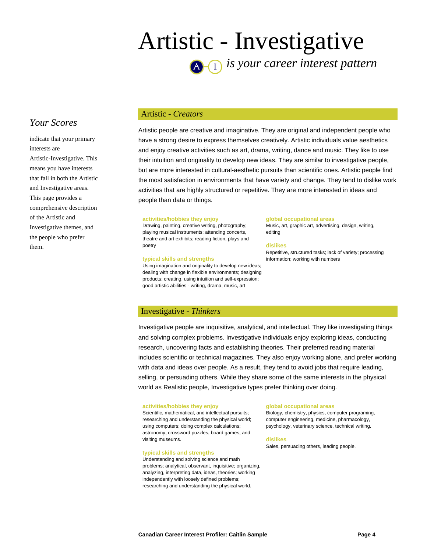### Artistic - Investigative *is your career interest pattern*

### *Your Scores*

indicate that your primary interests are Artistic-Investigative. This means you have interests that fall in both the Artistic and Investigative areas. This page provides a comprehensive description of the Artistic and Investigative themes, and the people who prefer them.

#### Artistic - *Creators*

Artistic people are creative and imaginative. They are original and independent people who have a strong desire to express themselves creatively. Artistic individuals value aesthetics and enjoy creative activities such as art, drama, writing, dance and music. They like to use their intuition and originality to develop new ideas. They are similar to investigative people, but are more interested in cultural-aesthetic pursuits than scientific ones. Artistic people find the most satisfaction in environments that have variety and change. They tend to dislike work activities that are highly structured or repetitive. They are more interested in ideas and people than data or things.

#### **activities/hobbies they enjoy**

Drawing, painting, creative writing, photography; playing musical instruments; attending concerts, theatre and art exhibits; reading fiction, plays and poetry

#### **typical skills and strengths**

Using imagination and originality to develop new ideas; dealing with change in flexible environments; designing products; creating, using intuition and self-expression; good artistic abilities - writing, drama, music, art

#### **global occupational areas**

Music, art, graphic art, advertising, design, writing, editing

#### **dislikes**

Repetitive, structured tasks; lack of variety; processing information; working with numbers

#### Investigative - *Thinkers*

Investigative people are inquisitive, analytical, and intellectual. They like investigating things and solving complex problems. Investigative individuals enjoy exploring ideas, conducting research, uncovering facts and establishing theories. Their preferred reading material includes scientific or technical magazines. They also enjoy working alone, and prefer working with data and ideas over people. As a result, they tend to avoid jobs that require leading, selling, or persuading others. While they share some of the same interests in the physical world as Realistic people, Investigative types prefer thinking over doing.

#### **activities/hobbies they enjoy**

Scientific, mathematical, and intellectual pursuits; researching and understanding the physical world; using computers; doing complex calculations; astronomy, crossword puzzles, board games, and visiting museums.

#### **typical skills and strengths**

Understanding and solving science and math problems; analytical, observant, inquisitive; organizing, analyzing, interpreting data, ideas, theories; working independently with loosely defined problems; researching and understanding the physical world.

#### **global occupational areas**

Biology, chemistry, physics, computer programing, computer engineering, medicine, pharmacology, psychology, veterinary science, technical writing.

**dislikes**

Sales, persuading others, leading people.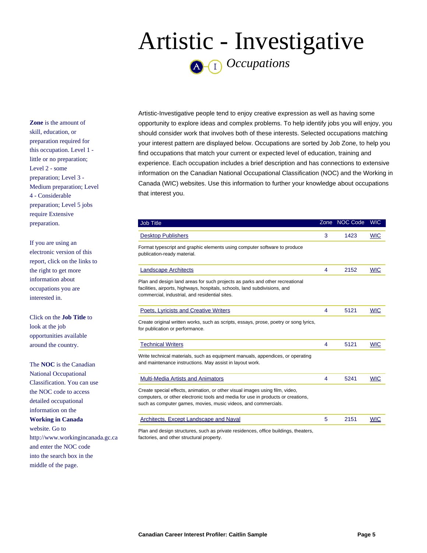### Artistic - Investigative *Occupations*

**Zone** is the amount of skill, education, or preparation required for this occupation. Level 1 little or no preparation; Level 2 - some preparation; Level 3 - Medium preparation; Level 4 - Considerable preparation; Level 5 jobs require Extensive preparation.

If you are using an electronic version of this report, click on the links to the right to get more information about occupations you are interested in.

Click on the **Job Title** to look at the job opportunities available around the country.

The **NOC** is the Canadian National Occupational Classification. You can use the NOC code to access detailed occupational information on the **Working in Canada** website. Go to http://www.workingincanada.gc.ca and enter the NOC code into the search box in the middle of the page.

Artistic-Investigative people tend to enjoy creative expression as well as having some opportunity to explore ideas and complex problems. To help identify jobs you will enjoy, you should consider work that involves both of these interests. Selected occupations matching your interest pattern are displayed below. Occupations are sorted by Job Zone, to help you find occupations that match your current or expected level of education, training and experience. Each occupation includes a brief description and has connections to extensive information on the Canadian National Occupational Classification (NOC) and the Working in Canada (WIC) websites. Use this information to further your knowledge about occupations that interest you.

| <b>Job Title</b>                                                                                                                                                                                                                   |   | Zone NOC Code | <b>WIC</b> |
|------------------------------------------------------------------------------------------------------------------------------------------------------------------------------------------------------------------------------------|---|---------------|------------|
| <b>Desktop Publishers</b>                                                                                                                                                                                                          | 3 | 1423          | <b>WIC</b> |
| Format typescript and graphic elements using computer software to produce<br>publication-ready material.                                                                                                                           |   |               |            |
| <b>Landscape Architects</b>                                                                                                                                                                                                        | 4 | 2152          | <b>WIC</b> |
| Plan and design land areas for such projects as parks and other recreational<br>facilities, airports, highways, hospitals, schools, land subdivisions, and<br>commercial, industrial, and residential sites.                       |   |               |            |
| Poets, Lyricists and Creative Writers                                                                                                                                                                                              | 4 | 5121          | <b>WIC</b> |
| Create original written works, such as scripts, essays, prose, poetry or song lyrics,<br>for publication or performance.                                                                                                           |   |               |            |
| <b>Technical Writers</b>                                                                                                                                                                                                           | 4 | 5121          | <b>WIC</b> |
| Write technical materials, such as equipment manuals, appendices, or operating<br>and maintenance instructions. May assist in layout work.                                                                                         |   |               |            |
| <b>Multi-Media Artists and Animators</b>                                                                                                                                                                                           | 4 | 5241          | <b>WIC</b> |
| Create special effects, animation, or other visual images using film, video,<br>computers, or other electronic tools and media for use in products or creations,<br>such as computer games, movies, music videos, and commercials. |   |               |            |
| <b>Architects, Except Landscape and Naval</b>                                                                                                                                                                                      | 5 | 2151          | <b>WIC</b> |
| Plan and design structures, such as private residences, office buildings, theaters,                                                                                                                                                |   |               |            |

factories, and other structural property.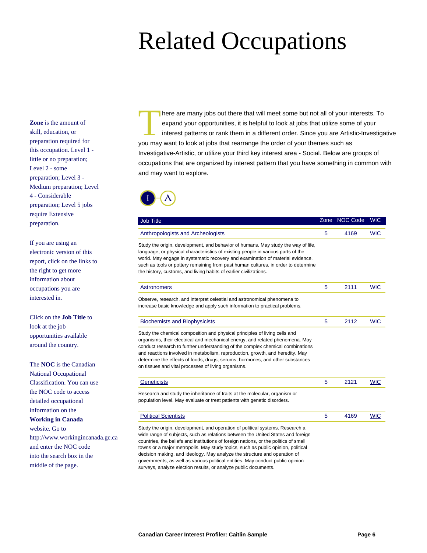**Zone** is the amount of skill, education, or preparation required for this occupation. Level 1 little or no preparation; Level 2 - some preparation; Level 3 - Medium preparation; Level 4 - Considerable preparation; Level 5 jobs require Extensive preparation.

If you are using an electronic version of this report, click on the links to the right to get more information about occupations you are interested in.

Click on the **Job Title** to look at the job opportunities available around the country.

The **NOC** is the Canadian

National Occupational Classification. You can use the NOC code to access detailed occupational information on the **Working in Canada** website. Go to http://www.workingincanada.gc.ca and enter the NOC code into the search box in the middle of the page.

There are many jobs out there that will meet some but not all of your in expand your opportunities, it is helpful to look at jobs that utilize some interest patterns or rank them in a different order. Since you are Artis y here are many jobs out there that will meet some but not all of your interests. To expand your opportunities, it is helpful to look at jobs that utilize some of your interest patterns or rank them in a different order. Since you are Artistic-Investigative Investigative-Artistic, or utilize your third key interest area - Social. Below are groups of occupations that are organized by interest pattern that you have something in common with and may want to explore.



| <b>Job Title</b>                                                                                                                                                                                                                                                                                                                                                                                                                                                                                            | Zone | <b>NOC Code</b> | <b>WIC</b> |
|-------------------------------------------------------------------------------------------------------------------------------------------------------------------------------------------------------------------------------------------------------------------------------------------------------------------------------------------------------------------------------------------------------------------------------------------------------------------------------------------------------------|------|-----------------|------------|
| <b>Anthropologists and Archeologists</b>                                                                                                                                                                                                                                                                                                                                                                                                                                                                    | 5    | 4169            | <b>WIC</b> |
| Study the origin, development, and behavior of humans. May study the way of life,<br>language, or physical characteristics of existing people in various parts of the<br>world. May engage in systematic recovery and examination of material evidence,<br>such as tools or pottery remaining from past human cultures, in order to determine<br>the history, customs, and living habits of earlier civilizations.                                                                                          |      |                 |            |
| <b>Astronomers</b>                                                                                                                                                                                                                                                                                                                                                                                                                                                                                          | 5    | 2111            | <b>WIC</b> |
| Observe, research, and interpret celestial and astronomical phenomena to<br>increase basic knowledge and apply such information to practical problems.                                                                                                                                                                                                                                                                                                                                                      |      |                 |            |
| <b>Biochemists and Biophysicists</b>                                                                                                                                                                                                                                                                                                                                                                                                                                                                        | 5    | 2112            | <b>WIC</b> |
| Study the chemical composition and physical principles of living cells and<br>organisms, their electrical and mechanical energy, and related phenomena. May<br>conduct research to further understanding of the complex chemical combinations<br>and reactions involved in metabolism, reproduction, growth, and heredity. May<br>determine the effects of foods, drugs, serums, hormones, and other substances<br>on tissues and vital processes of living organisms.                                      |      |                 |            |
| <b>Geneticists</b>                                                                                                                                                                                                                                                                                                                                                                                                                                                                                          | 5    | 2121            | <b>WIC</b> |
| Research and study the inheritance of traits at the molecular, organism or<br>population level. May evaluate or treat patients with genetic disorders.                                                                                                                                                                                                                                                                                                                                                      |      |                 |            |
| <b>Political Scientists</b>                                                                                                                                                                                                                                                                                                                                                                                                                                                                                 | 5    | 4169            | <b>WIC</b> |
| Study the origin, development, and operation of political systems. Research a<br>wide range of subjects, such as relations between the United States and foreign<br>countries, the beliefs and institutions of foreign nations, or the politics of small<br>towns or a major metropolis. May study topics, such as public opinion, political<br>decision making, and ideology. May analyze the structure and operation of<br>governments, as well as various political entities. May conduct public opinion |      |                 |            |

surveys, analyze election results, or analyze public documents.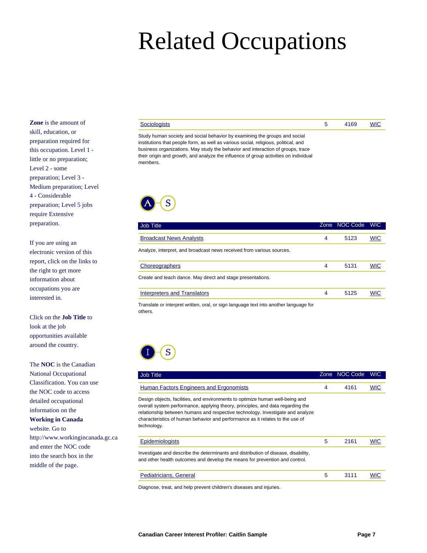**Zone** is the amount of skill, education, or preparation required for this occupation. Level 1 little or no preparation; Level 2 - some preparation; Level 3 - Medium preparation; Level 4 - Considerable preparation; Level 5 jobs require Extensive preparation.

If you are using an electronic version of this report, click on the links to the right to get more information about occupations you are interested in.

Click on the **Job Title** to look at the job opportunities available around the country.

The **NOC** is the Canadian

National Occupational Classification. You can use the NOC code to access detailed occupational information on the **Working in Canada** website. Go to http://www.workingincanada.gc.ca and enter the NOC code into the search box in the middle of the page.

| ıists |
|-------|
|-------|

[Sociologists](http://www.indeed.ca/jobs?q=Sociologists#indpubnum=2157757417001994) 5 4169 [WIC](http://www.workingincanada.gc.ca/report-eng.do?noc=4169)

Study human society and social behavior by examining the groups and social institutions that people form, as well as various social, religious, political, and business organizations. May study the behavior and interaction of groups, trace their origin and growth, and analyze the influence of group activities on individual members.



| Job Title                                                                             |   | Zone NOC Code | <b>WIC</b> |
|---------------------------------------------------------------------------------------|---|---------------|------------|
| <b>Broadcast News Analysts</b>                                                        | 4 | 5123          | <b>WIC</b> |
| Analyze, interpret, and broadcast news received from various sources.                 |   |               |            |
| Choreographers                                                                        | 4 | 5131          | <b>WIC</b> |
| Create and teach dance. May direct and stage presentations.                           |   |               |            |
| <b>Interpreters and Translators</b>                                                   | 4 | 5125          | <b>WIC</b> |
| Translate or interpret written, aral, or sign language text into another language for |   |               |            |

Translate or interpret written, oral, or sign language text into another language for others.



| <b>Job Title</b>                                                                                                                                                                                                                                                                                                                                   | Zone | <b>NOC Code</b> | <b>WIC</b> |
|----------------------------------------------------------------------------------------------------------------------------------------------------------------------------------------------------------------------------------------------------------------------------------------------------------------------------------------------------|------|-----------------|------------|
| Human Factors Engineers and Ergonomists                                                                                                                                                                                                                                                                                                            | 4    | 4161            | <b>WIC</b> |
| Design objects, facilities, and environments to optimize human well-being and<br>overall system performance, applying theory, principles, and data regarding the<br>relationship between humans and respective technology. Investigate and analyze<br>characteristics of human behavior and performance as it relates to the use of<br>technology. |      |                 |            |
| Epidemiologists                                                                                                                                                                                                                                                                                                                                    | 5    | 2161            | <b>WIC</b> |
| Investigate and describe the determinants and distribution of disease, disability,<br>and other health outcomes and develop the means for prevention and control.                                                                                                                                                                                  |      |                 |            |
| Pediatricians, General                                                                                                                                                                                                                                                                                                                             | 5    | 3111            |            |

Diagnose, treat, and help prevent children's diseases and injuries.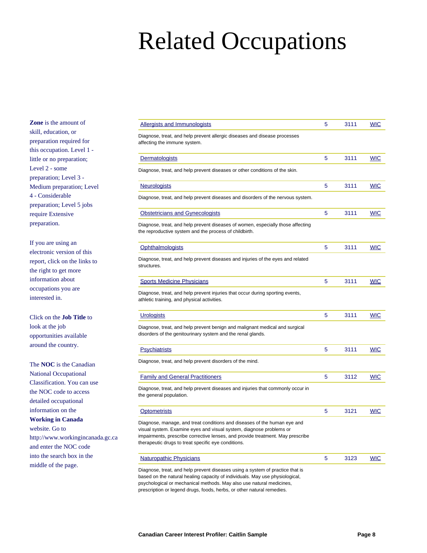**Zone** is the amount of skill, education, or preparation required for this occupation. Level 1 little or no preparation; Level 2 - some preparation; Level 3 - Medium preparation; Level 4 - Considerable preparation; Level 5 jobs require Extensive preparation.

If you are using an electronic version of this report, click on the links to the right to get more information about occupations you are interested in.

Click on the **Job Title** to look at the job opportunities available around the country.

The **NOC** is the Canadian

National Occupational Classification. You can use the NOC code to access detailed occupational information on the **Working in Canada** website. Go to http://www.workingincanada.gc.ca and enter the NOC code into the search box in the middle of the page.

| <b>Allergists and Immunologists</b>                                                                                                                                                                                                                                                      | 5 | 3111 | <b>WIC</b> |
|------------------------------------------------------------------------------------------------------------------------------------------------------------------------------------------------------------------------------------------------------------------------------------------|---|------|------------|
| Diagnose, treat, and help prevent allergic diseases and disease processes<br>affecting the immune system.                                                                                                                                                                                |   |      |            |
| <b>Dermatologists</b>                                                                                                                                                                                                                                                                    | 5 | 3111 | <b>WIC</b> |
| Diagnose, treat, and help prevent diseases or other conditions of the skin.                                                                                                                                                                                                              |   |      |            |
| <b>Neurologists</b>                                                                                                                                                                                                                                                                      | 5 | 3111 | <b>WIC</b> |
| Diagnose, treat, and help prevent diseases and disorders of the nervous system.                                                                                                                                                                                                          |   |      |            |
| <b>Obstetricians and Gynecologists</b>                                                                                                                                                                                                                                                   | 5 | 3111 | <b>WIC</b> |
| Diagnose, treat, and help prevent diseases of women, especially those affecting<br>the reproductive system and the process of childbirth.                                                                                                                                                |   |      |            |
| <b>Ophthalmologists</b>                                                                                                                                                                                                                                                                  | 5 | 3111 | <b>WIC</b> |
| Diagnose, treat, and help prevent diseases and injuries of the eyes and related<br>structures.                                                                                                                                                                                           |   |      |            |
| <b>Sports Medicine Physicians</b>                                                                                                                                                                                                                                                        | 5 | 3111 | <b>WIC</b> |
| Diagnose, treat, and help prevent injuries that occur during sporting events,<br>athletic training, and physical activities.                                                                                                                                                             |   |      |            |
| <b>Urologists</b>                                                                                                                                                                                                                                                                        | 5 | 3111 | <b>WIC</b> |
| Diagnose, treat, and help prevent benign and malignant medical and surgical<br>disorders of the genitourinary system and the renal glands.                                                                                                                                               |   |      |            |
| <b>Psychiatrists</b>                                                                                                                                                                                                                                                                     | 5 | 3111 | <b>WIC</b> |
| Diagnose, treat, and help prevent disorders of the mind.                                                                                                                                                                                                                                 |   |      |            |
| <b>Family and General Practitioners</b>                                                                                                                                                                                                                                                  | 5 | 3112 | <b>WIC</b> |
| Diagnose, treat, and help prevent diseases and injuries that commonly occur in<br>the general population.                                                                                                                                                                                |   |      |            |
| <b>Optometrists</b>                                                                                                                                                                                                                                                                      | 5 | 3121 | <b>WIC</b> |
| Diagnose, manage, and treat conditions and diseases of the human eye and<br>visual system. Examine eyes and visual system, diagnose problems or<br>impairments, prescribe corrective lenses, and provide treatment. May prescribe<br>therapeutic drugs to treat specific eye conditions. |   |      |            |
| <b>Naturopathic Physicians</b>                                                                                                                                                                                                                                                           | 5 | 3123 | <b>WIC</b> |
| Diagnose, treat, and help prevent diseases using a system of practice that is<br>based on the natural healing capacity of individuals. May use physiological,                                                                                                                            |   |      |            |

psychological or mechanical methods. May also use natural medicines, prescription or legend drugs, foods, herbs, or other natural remedies.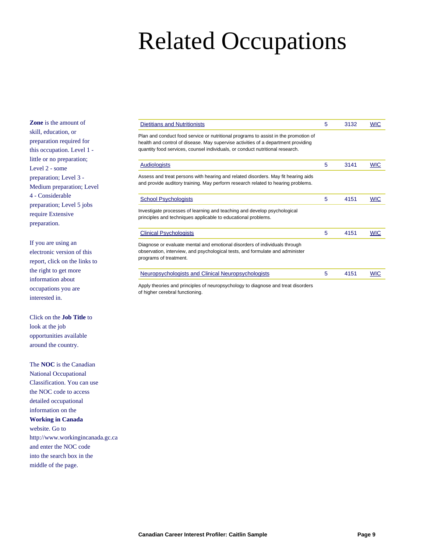**Zone** is the amount of skill, education, or preparation required for this occupation. Level 1 little or no preparation; Level 2 - some preparation; Level 3 - Medium preparation; Level 4 - Considerable preparation; Level 5 jobs require Extensive preparation.

If you are using an electronic version of this report, click on the links to the right to get more information about occupations you are interested in.

Click on the **Job Title** to look at the job opportunities available around the country.

The **NOC** is the Canadian

National Occupational Classification. You can use the NOC code to access detailed occupational information on the **Working in Canada** website. Go to http://www.workingincanada.gc.ca and enter the NOC code into the search box in the middle of the page.

| Dietitians and Nutritionists                                                                                                                                                                                                                              | 5 | 3132 | <b>WIC</b> |
|-----------------------------------------------------------------------------------------------------------------------------------------------------------------------------------------------------------------------------------------------------------|---|------|------------|
| Plan and conduct food service or nutritional programs to assist in the promotion of<br>health and control of disease. May supervise activities of a department providing<br>quantity food services, counsel individuals, or conduct nutritional research. |   |      |            |
| <b>Audiologists</b>                                                                                                                                                                                                                                       | 5 | 3141 | <b>WIC</b> |
| Assess and treat persons with hearing and related disorders. May fit hearing aids<br>and provide auditory training. May perform research related to hearing problems.                                                                                     |   |      |            |
| <b>School Psychologists</b>                                                                                                                                                                                                                               | 5 | 4151 | <b>WIC</b> |
| Investigate processes of learning and teaching and develop psychological<br>principles and techniques applicable to educational problems.                                                                                                                 |   |      |            |
| <b>Clinical Psychologists</b>                                                                                                                                                                                                                             | 5 | 4151 | <b>WIC</b> |
| Diagnose or evaluate mental and emotional disorders of individuals through<br>observation, interview, and psychological tests, and formulate and administer<br>programs of treatment.                                                                     |   |      |            |
| Neuropsychologists and Clinical Neuropsychologists                                                                                                                                                                                                        | 5 | 4151 | <b>WIC</b> |
| Apply theories and principles of neuropsychology to diagnose and treat disorders                                                                                                                                                                          |   |      |            |

of higher cerebral functioning.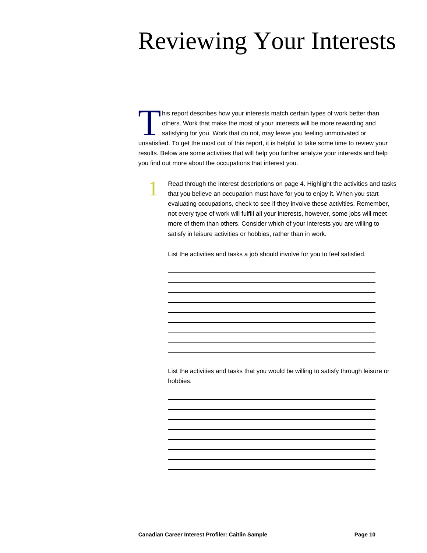### Reviewing Your Interests

This report describes how your interests match certain types of work better than<br>others. Work that make the most of your interests will be more rewarding and<br>satisfying for you. Work that do not, may leave you feeling unmo his report describes how your interests match certain types of work better than others. Work that make the most of your interests will be more rewarding and satisfying for you. Work that do not, may leave you feeling unmotivated or results. Below are some activities that will help you further analyze your interests and help you find out more about the occupations that interest you.

> Read through the interest descriptions on page 4. Highlight the activities and tasks that you believe an occupation must have for you to enjoy it. When you start evaluating occupations, check to see if they involve these activities. Remember, not every type of work will fulfill all your interests, however, some jobs will meet more of them than others. Consider which of your interests you are willing to satisfy in leisure activities or hobbies, rather than in work.

List the activities and tasks a job should involve for you to feel satisfied.

List the activities and tasks that you would be willing to satisfy through leisure or hobbies.

1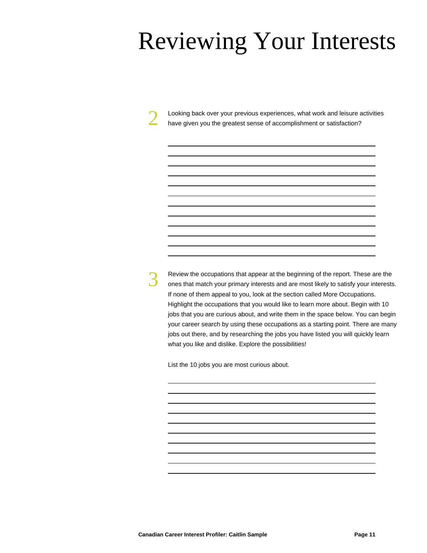### Reviewing Your Interests

Looking back over your previous experiences, what work and leisure activities have given you the greatest sense of accomplishment or satisfaction?

3

2

Review the occupations that appear at the beginning of the report. These are the ones that match your primary interests and are most likely to satisfy your interests. If none of them appeal to you, look at the section called More Occupations. Highlight the occupations that you would like to learn more about. Begin with 10 jobs that you are curious about, and write them in the space below. You can begin your career search by using these occupations as a starting point. There are many jobs out there, and by researching the jobs you have listed you will quickly learn what you like and dislike. Explore the possibilities!

List the 10 jobs you are most curious about.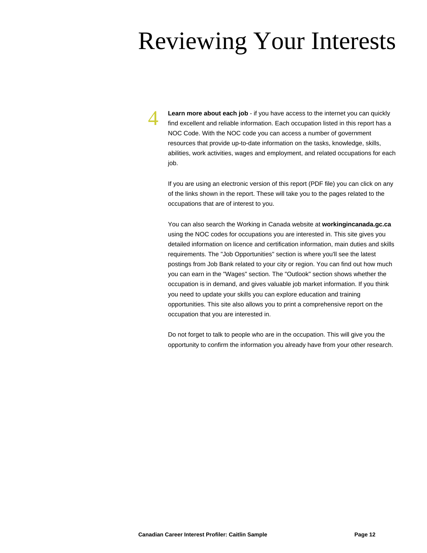### Reviewing Your Interests

**Learn more about each job** - if you have access to the internet you can quickly find excellent and reliable information. Each occupation listed in this report has a NOC Code. With the NOC code you can access a number of government resources that provide up-to-date information on the tasks, knowledge, skills, abilities, work activities, wages and employment, and related occupations for each job.

4

If you are using an electronic version of this report (PDF file) you can click on any of the links shown in the report. These will take you to the pages related to the occupations that are of interest to you.

You can also search the Working in Canada website at **workingincanada.gc.ca** using the NOC codes for occupations you are interested in. This site gives you detailed information on licence and certification information, main duties and skills requirements. The "Job Opportunities" section is where you'll see the latest postings from Job Bank related to your city or region. You can find out how much you can earn in the "Wages" section. The "Outlook" section shows whether the occupation is in demand, and gives valuable job market information. If you think you need to update your skills you can explore education and training opportunities. This site also allows you to print a comprehensive report on the occupation that you are interested in.

Do not forget to talk to people who are in the occupation. This will give you the opportunity to confirm the information you already have from your other research.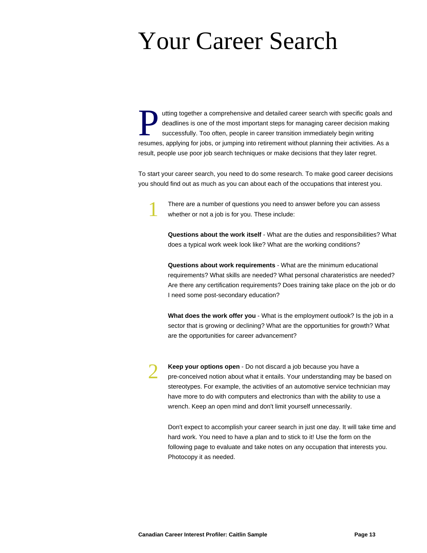### Your Career Search

Uniting together a comprehensive and detailed career search with specific goals and eadlines is one of the most important steps for managing career decision making successfully. Too often, people in career transition immed utting together a comprehensive and detailed career search with specific goals and deadlines is one of the most important steps for managing career decision making successfully. Too often, people in career transition immediately begin writing result, people use poor job search techniques or make decisions that they later regret.

To start your career search, you need to do some research. To make good career decisions you should find out as much as you can about each of the occupations that interest you.

> There are a number of questions you need to answer before you can assess whether or not a job is for you. These include:

**Questions about the work itself** - What are the duties and responsibilities? What does a typical work week look like? What are the working conditions?

**Questions about work requirements** - What are the minimum educational requirements? What skills are needed? What personal charateristics are needed? Are there any certification requirements? Does training take place on the job or do I need some post-secondary education?

**What does the work offer you** - What is the employment outlook? Is the job in a sector that is growing or declining? What are the opportunities for growth? What are the opportunities for career advancement?

**Keep your options open** - Do not discard a job because you have a pre-conceived notion about what it entails. Your understanding may be based on stereotypes. For example, the activities of an automotive service technician may have more to do with computers and electronics than with the ability to use a wrench. Keep an open mind and don't limit yourself unnecessarily.

Don't expect to accomplish your career search in just one day. It will take time and hard work. You need to have a plan and to stick to it! Use the form on the following page to evaluate and take notes on any occupation that interests you. Photocopy it as needed.

1

2